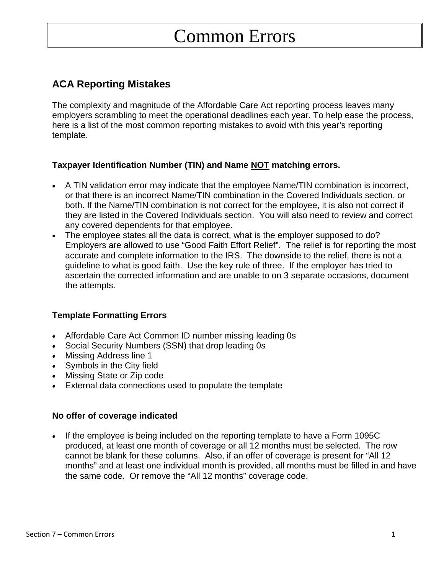# Common Errors

# **ACA Reporting Mistakes**

The complexity and magnitude of the Affordable Care Act reporting process leaves many employers scrambling to meet the operational deadlines each year. To help ease the process, here is a list of the most common reporting mistakes to avoid with this year's reporting template.

# **Taxpayer Identification Number (TIN) and Name NOT matching errors.**

- A TIN validation error may indicate that the employee Name/TIN combination is incorrect, or that there is an incorrect Name/TIN combination in the Covered Individuals section, or both. If the Name/TIN combination is not correct for the employee, it is also not correct if they are listed in the Covered Individuals section. You will also need to review and correct any covered dependents for that employee.
- The employee states all the data is correct, what is the employer supposed to do? Employers are allowed to use "Good Faith Effort Relief". The relief is for reporting the most accurate and complete information to the IRS. The downside to the relief, there is not a guideline to what is good faith. Use the key rule of three. If the employer has tried to ascertain the corrected information and are unable to on 3 separate occasions, document the attempts.

# **Template Formatting Errors**

- Affordable Care Act Common ID number missing leading 0s
- Social Security Numbers (SSN) that drop leading 0s
- Missing Address line 1
- Symbols in the City field
- Missing State or Zip code
- External data connections used to populate the template

# **No offer of coverage indicated**

 If the employee is being included on the reporting template to have a Form 1095C produced, at least one month of coverage or all 12 months must be selected. The row cannot be blank for these columns. Also, if an offer of coverage is present for "All 12 months" and at least one individual month is provided, all months must be filled in and have the same code. Or remove the "All 12 months" coverage code.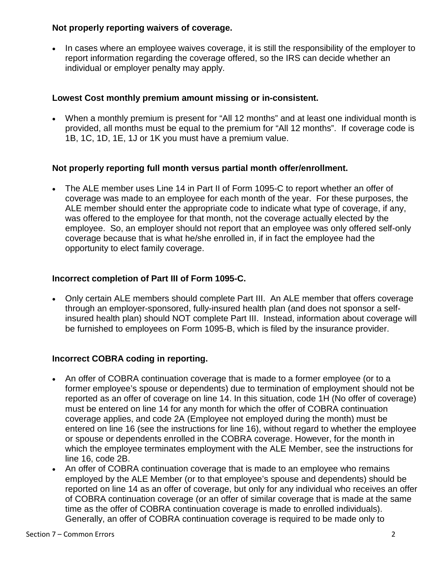#### **Not properly reporting waivers of coverage.**

• In cases where an employee waives coverage, it is still the responsibility of the employer to report information regarding the coverage offered, so the IRS can decide whether an individual or employer penalty may apply.

# **Lowest Cost monthly premium amount missing or in-consistent.**

 When a monthly premium is present for "All 12 months" and at least one individual month is provided, all months must be equal to the premium for "All 12 months". If coverage code is 1B, 1C, 1D, 1E, 1J or 1K you must have a premium value.

#### **Not properly reporting full month versus partial month offer/enrollment.**

 The ALE member uses Line 14 in Part II of Form 1095-C to report whether an offer of coverage was made to an employee for each month of the year. For these purposes, the ALE member should enter the appropriate code to indicate what type of coverage, if any, was offered to the employee for that month, not the coverage actually elected by the employee. So, an employer should not report that an employee was only offered self-only coverage because that is what he/she enrolled in, if in fact the employee had the opportunity to elect family coverage.

# **Incorrect completion of Part III of Form 1095-C.**

 Only certain ALE members should complete Part III. An ALE member that offers coverage through an employer-sponsored, fully-insured health plan (and does not sponsor a selfinsured health plan) should NOT complete Part III. Instead, information about coverage will be furnished to employees on Form 1095-B, which is filed by the insurance provider.

# **Incorrect COBRA coding in reporting.**

- An offer of COBRA continuation coverage that is made to a former employee (or to a former employee's spouse or dependents) due to termination of employment should not be reported as an offer of coverage on line 14. In this situation, code 1H (No offer of coverage) must be entered on line 14 for any month for which the offer of COBRA continuation coverage applies, and code 2A (Employee not employed during the month) must be entered on line 16 (see the instructions for line 16), without regard to whether the employee or spouse or dependents enrolled in the COBRA coverage. However, for the month in which the employee terminates employment with the ALE Member, see the instructions for line 16, code 2B.
- An offer of COBRA continuation coverage that is made to an employee who remains employed by the ALE Member (or to that employee's spouse and dependents) should be reported on line 14 as an offer of coverage, but only for any individual who receives an offer of COBRA continuation coverage (or an offer of similar coverage that is made at the same time as the offer of COBRA continuation coverage is made to enrolled individuals). Generally, an offer of COBRA continuation coverage is required to be made only to